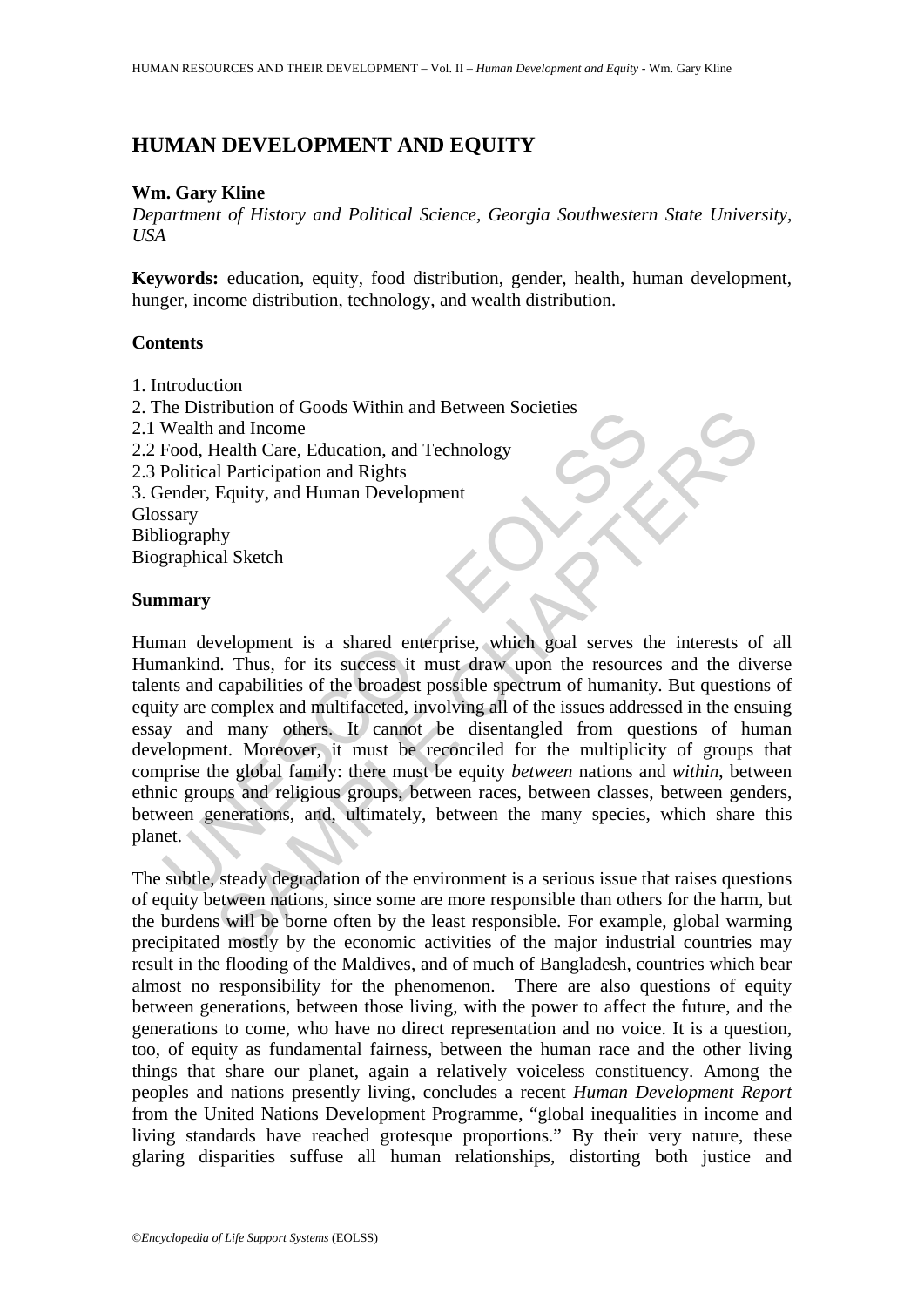# **HUMAN DEVELOPMENT AND EQUITY**

#### **Wm. Gary Kline**

*Department of History and Political Science, Georgia Southwestern State University, USA* 

**Keywords:** education, equity, food distribution, gender, health, human development, hunger, income distribution, technology, and wealth distribution.

### **Contents**

1. Introduction

2. The Distribution of Goods Within and Between Societies 2.1 Wealth and Income 2.2 Food, Health Care, Education, and Technology 2.3 Political Participation and Rights 3. Gender, Equity, and Human Development **Glossary** Bibliography Biographical Sketch

#### **Summary**

In the Disturbution of Goods Within and Between Societies<br>
Wealth and Income<br>
Food, Health Care, Education, and Technology<br>
Political Participation and Rights<br>
signals ender, Equity, and Human Development<br>
signals ender, E Troution of Goods Within and Between Socienes<br>
and Income<br>
and Income<br>
Health Care, Education, and Technology<br>
Il Participation and Rights<br>
Equity, and Human Development<br>
Ny<br>
al Sketch<br>
Apply<br>
al Sketch<br>
Apply and Sketch<br> Human development is a shared enterprise, which goal serves the interests of all Humankind. Thus, for its success it must draw upon the resources and the diverse talents and capabilities of the broadest possible spectrum of humanity. But questions of equity are complex and multifaceted, involving all of the issues addressed in the ensuing essay and many others. It cannot be disentangled from questions of human development. Moreover, it must be reconciled for the multiplicity of groups that comprise the global family: there must be equity *between* nations and *within*, between ethnic groups and religious groups, between races, between classes, between genders, between generations, and, ultimately, between the many species, which share this planet.

The subtle, steady degradation of the environment is a serious issue that raises questions of equity between nations, since some are more responsible than others for the harm, but the burdens will be borne often by the least responsible. For example, global warming precipitated mostly by the economic activities of the major industrial countries may result in the flooding of the Maldives, and of much of Bangladesh, countries which bear almost no responsibility for the phenomenon. There are also questions of equity between generations, between those living, with the power to affect the future, and the generations to come, who have no direct representation and no voice. It is a question, too, of equity as fundamental fairness, between the human race and the other living things that share our planet, again a relatively voiceless constituency. Among the peoples and nations presently living, concludes a recent *Human Development Report* from the United Nations Development Programme, "global inequalities in income and living standards have reached grotesque proportions." By their very nature, these glaring disparities suffuse all human relationships, distorting both justice and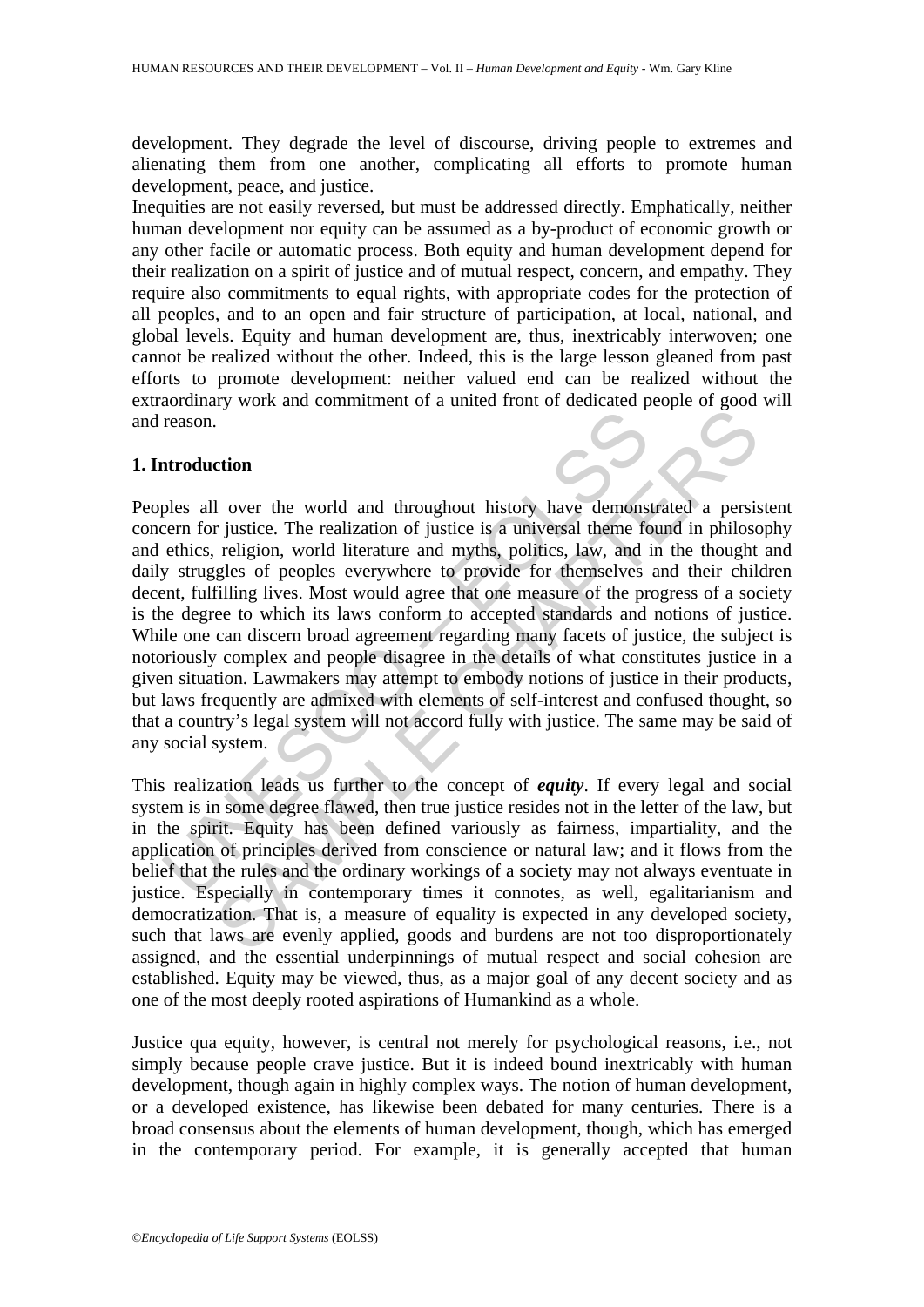development. They degrade the level of discourse, driving people to extremes and alienating them from one another, complicating all efforts to promote human development, peace, and justice.

Inequities are not easily reversed, but must be addressed directly. Emphatically, neither human development nor equity can be assumed as a by-product of economic growth or any other facile or automatic process. Both equity and human development depend for their realization on a spirit of justice and of mutual respect, concern, and empathy. They require also commitments to equal rights, with appropriate codes for the protection of all peoples, and to an open and fair structure of participation, at local, national, and global levels. Equity and human development are, thus, inextricably interwoven; one cannot be realized without the other. Indeed, this is the large lesson gleaned from past efforts to promote development: neither valued end can be realized without the extraordinary work and commitment of a united front of dedicated people of good will and reason.

### **1. Introduction**

reason.<br> **atroduction**<br>
ples all over the world and throughout history have demons<br>
ples all over the world and throughout history have demons<br>
cern for justice. The realization of justice is a universal theme fe<br>
ethics, From the same of states and throughout history have demonstrated a persistic dianomization of justice is a universal theme found in philoss religion, world literature and myths, politics, law, and in the thought religion, Peoples all over the world and throughout history have demonstrated a persistent concern for justice. The realization of justice is a universal theme found in philosophy and ethics, religion, world literature and myths, politics, law, and in the thought and daily struggles of peoples everywhere to provide for themselves and their children decent, fulfilling lives. Most would agree that one measure of the progress of a society is the degree to which its laws conform to accepted standards and notions of justice. While one can discern broad agreement regarding many facets of justice, the subject is notoriously complex and people disagree in the details of what constitutes justice in a given situation. Lawmakers may attempt to embody notions of justice in their products, but laws frequently are admixed with elements of self-interest and confused thought, so that a country's legal system will not accord fully with justice. The same may be said of any social system.

This realization leads us further to the concept of *equity*. If every legal and social system is in some degree flawed, then true justice resides not in the letter of the law, but in the spirit. Equity has been defined variously as fairness, impartiality, and the application of principles derived from conscience or natural law; and it flows from the belief that the rules and the ordinary workings of a society may not always eventuate in justice. Especially in contemporary times it connotes, as well, egalitarianism and democratization. That is, a measure of equality is expected in any developed society, such that laws are evenly applied, goods and burdens are not too disproportionately assigned, and the essential underpinnings of mutual respect and social cohesion are established. Equity may be viewed, thus, as a major goal of any decent society and as one of the most deeply rooted aspirations of Humankind as a whole.

Justice qua equity, however, is central not merely for psychological reasons, i.e., not simply because people crave justice. But it is indeed bound inextricably with human development, though again in highly complex ways. The notion of human development, or a developed existence, has likewise been debated for many centuries. There is a broad consensus about the elements of human development, though, which has emerged in the contemporary period. For example, it is generally accepted that human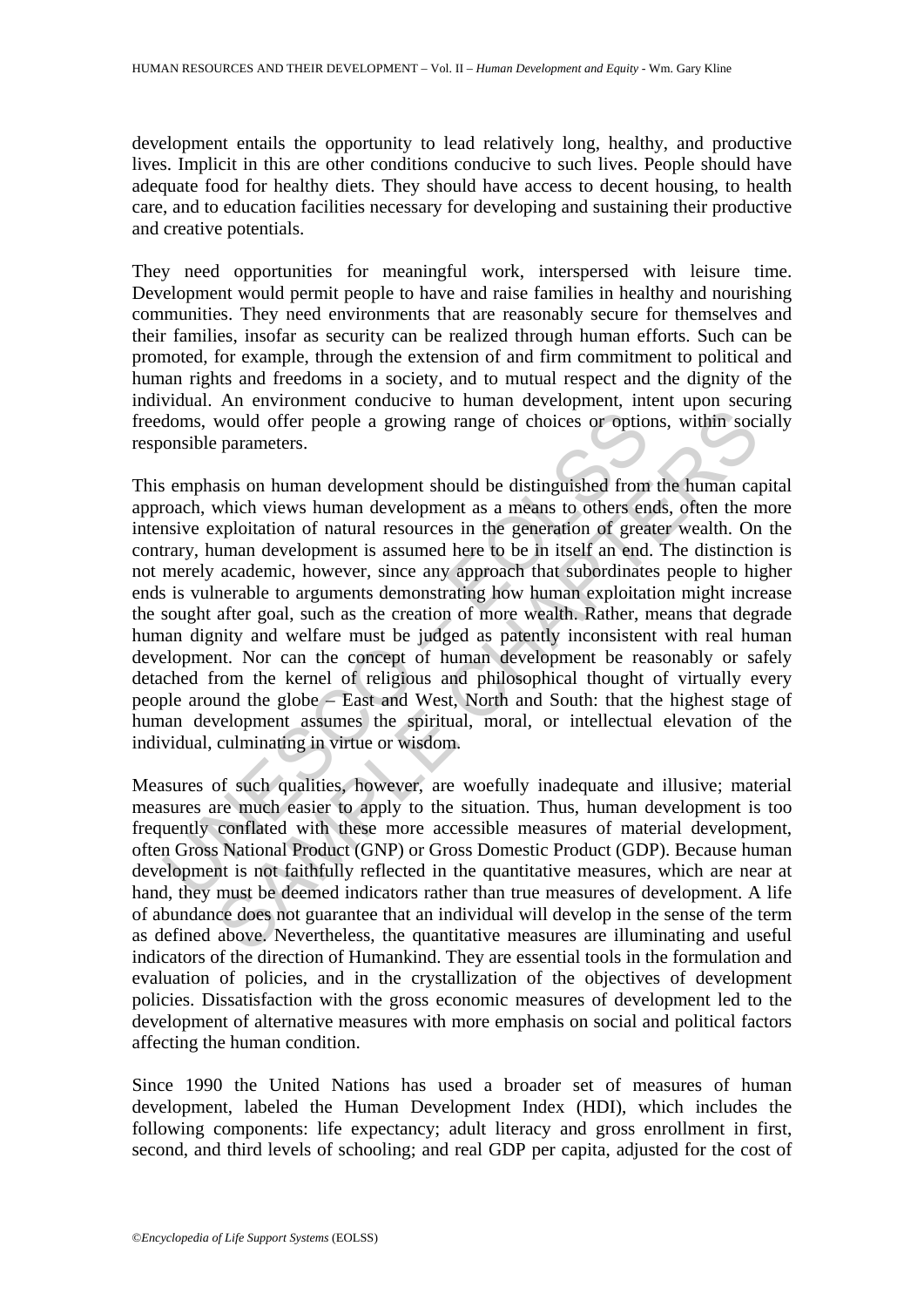development entails the opportunity to lead relatively long, healthy, and productive lives. Implicit in this are other conditions conducive to such lives. People should have adequate food for healthy diets. They should have access to decent housing, to health care, and to education facilities necessary for developing and sustaining their productive and creative potentials.

They need opportunities for meaningful work, interspersed with leisure time. Development would permit people to have and raise families in healthy and nourishing communities. They need environments that are reasonably secure for themselves and their families, insofar as security can be realized through human efforts. Such can be promoted, for example, through the extension of and firm commitment to political and human rights and freedoms in a society, and to mutual respect and the dignity of the individual. An environment conducive to human development, intent upon securing freedoms, would offer people a growing range of choices or options, within socially responsible parameters.

doms, would offer people a growing range of choices or optio<br>consible parameters.<br>Somplassis on human development should be distinguished from<br>coach, which views human development as a means to others en<br>onshive exploitati would offer people a growing range of choices or options, within soc-<br>parameters.<br>asis on human development should be distinguished from the human ca<br>which views human development as a means to others ends, often the n<br>ass This emphasis on human development should be distinguished from the human capital approach, which views human development as a means to others ends, often the more intensive exploitation of natural resources in the generation of greater wealth. On the contrary, human development is assumed here to be in itself an end. The distinction is not merely academic, however, since any approach that subordinates people to higher ends is vulnerable to arguments demonstrating how human exploitation might increase the sought after goal, such as the creation of more wealth. Rather, means that degrade human dignity and welfare must be judged as patently inconsistent with real human development. Nor can the concept of human development be reasonably or safely detached from the kernel of religious and philosophical thought of virtually every people around the globe – East and West, North and South: that the highest stage of human development assumes the spiritual, moral, or intellectual elevation of the individual, culminating in virtue or wisdom.

Measures of such qualities, however, are woefully inadequate and illusive; material measures are much easier to apply to the situation. Thus, human development is too frequently conflated with these more accessible measures of material development, often Gross National Product (GNP) or Gross Domestic Product (GDP). Because human development is not faithfully reflected in the quantitative measures, which are near at hand, they must be deemed indicators rather than true measures of development. A life of abundance does not guarantee that an individual will develop in the sense of the term as defined above. Nevertheless, the quantitative measures are illuminating and useful indicators of the direction of Humankind. They are essential tools in the formulation and evaluation of policies, and in the crystallization of the objectives of development policies. Dissatisfaction with the gross economic measures of development led to the development of alternative measures with more emphasis on social and political factors affecting the human condition.

Since 1990 the United Nations has used a broader set of measures of human development, labeled the Human Development Index (HDI), which includes the following components: life expectancy; adult literacy and gross enrollment in first, second, and third levels of schooling; and real GDP per capita, adjusted for the cost of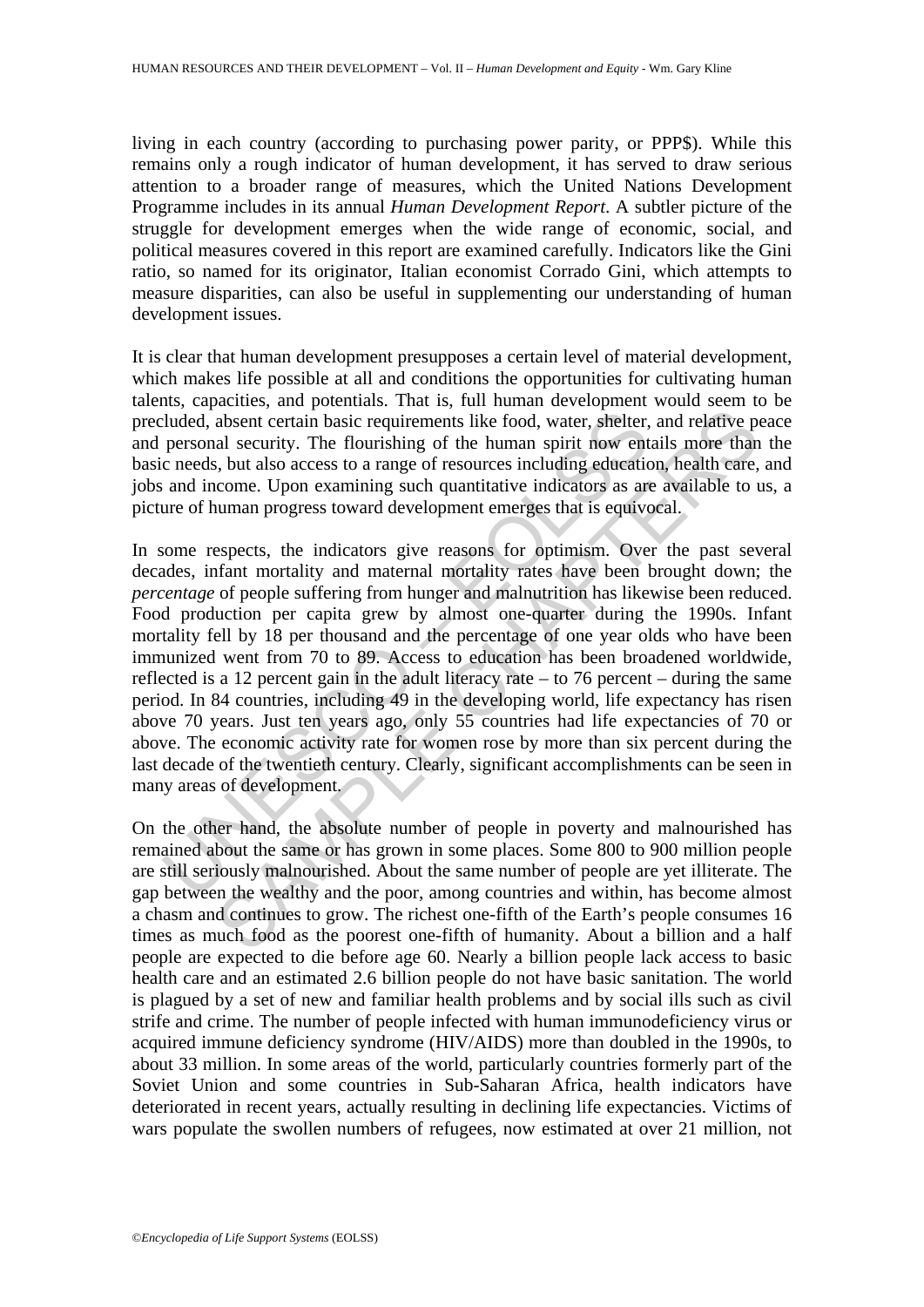living in each country (according to purchasing power parity, or PPP\$). While this remains only a rough indicator of human development, it has served to draw serious attention to a broader range of measures, which the United Nations Development Programme includes in its annual *Human Development Report*. A subtler picture of the struggle for development emerges when the wide range of economic, social, and political measures covered in this report are examined carefully. Indicators like the Gini ratio, so named for its originator, Italian economist Corrado Gini, which attempts to measure disparities, can also be useful in supplementing our understanding of human development issues.

It is clear that human development presupposes a certain level of material development, which makes life possible at all and conditions the opportunities for cultivating human talents, capacities, and potentials. That is, full human development would seem to be precluded, absent certain basic requirements like food, water, shelter, and relative peace and personal security. The flourishing of the human spirit now entails more than the basic needs, but also access to a range of resources including education, health care, and jobs and income. Upon examining such quantitative indicators as are available to us, a picture of human progress toward development emerges that is equivocal.

cluded, absent certain basic requirements like food, water, shelter,<br>personal security. The flourishing of the human spirit now ent<br>c needs, but also access to a range of resources including education<br>and income. Upon exam absent certain basic requirements like food, water, shelter, and relative palal security. The flourishing of the human spirit now entails more than b, but also access to a range of resources including education, health ear In some respects, the indicators give reasons for optimism. Over the past several decades, infant mortality and maternal mortality rates have been brought down; the *percentage* of people suffering from hunger and malnutrition has likewise been reduced. Food production per capita grew by almost one-quarter during the 1990s. Infant mortality fell by 18 per thousand and the percentage of one year olds who have been immunized went from 70 to 89. Access to education has been broadened worldwide, reflected is a 12 percent gain in the adult literacy rate – to 76 percent – during the same period. In 84 countries, including 49 in the developing world, life expectancy has risen above 70 years. Just ten years ago, only 55 countries had life expectancies of 70 or above. The economic activity rate for women rose by more than six percent during the last decade of the twentieth century. Clearly, significant accomplishments can be seen in many areas of development.

On the other hand, the absolute number of people in poverty and malnourished has remained about the same or has grown in some places. Some 800 to 900 million people are still seriously malnourished. About the same number of people are yet illiterate. The gap between the wealthy and the poor, among countries and within, has become almost a chasm and continues to grow. The richest one-fifth of the Earth's people consumes 16 times as much food as the poorest one-fifth of humanity. About a billion and a half people are expected to die before age 60. Nearly a billion people lack access to basic health care and an estimated 2.6 billion people do not have basic sanitation. The world is plagued by a set of new and familiar health problems and by social ills such as civil strife and crime. The number of people infected with human immunodeficiency virus or acquired immune deficiency syndrome (HIV/AIDS) more than doubled in the 1990s, to about 33 million. In some areas of the world, particularly countries formerly part of the Soviet Union and some countries in Sub-Saharan Africa, health indicators have deteriorated in recent years, actually resulting in declining life expectancies. Victims of wars populate the swollen numbers of refugees, now estimated at over 21 million, not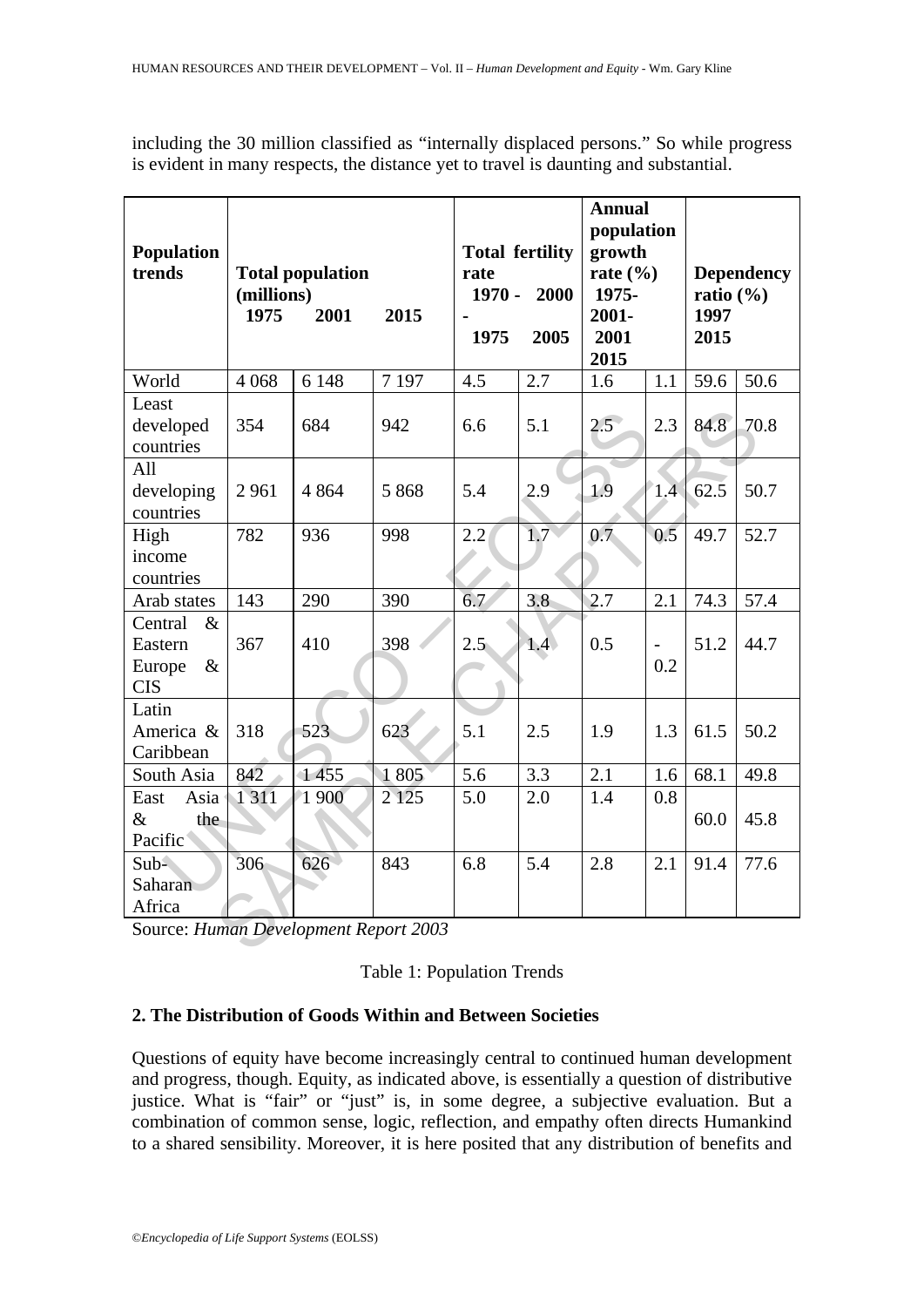| <b>Population</b><br>trends                                | <b>Total population</b><br>(millions)<br>2001<br>1975<br>2015 |         | <b>Total fertility</b><br>rate<br>$1970 -$<br>2000<br>1975<br>2005 |               | <b>Annual</b><br>population<br>growth<br>rate $(\% )$<br>1975-<br>2001-<br>2001<br>2015 |               | <b>Dependency</b><br>ratio $(\% )$<br>1997<br>2015 |      |      |
|------------------------------------------------------------|---------------------------------------------------------------|---------|--------------------------------------------------------------------|---------------|-----------------------------------------------------------------------------------------|---------------|----------------------------------------------------|------|------|
| World                                                      | 4 0 6 8                                                       | 6 1 4 8 | 7 1 9 7                                                            | 4.5           | 2.7                                                                                     | 1.6           | 1.1                                                | 59.6 | 50.6 |
| Least<br>developed<br>countries                            | 354                                                           | 684     | 942                                                                | 6.6           | 5.1                                                                                     | $2.5^{\circ}$ | 2.3                                                | 84.8 | 70.8 |
| All<br>developing<br>countries                             | 2961                                                          | 4 8 6 4 | 5 8 6 8                                                            | 5.4           | 2.9                                                                                     | 1.9           | 1.4                                                | 62.5 | 50.7 |
| High<br>income<br>countries                                | 782                                                           | 936     | 998                                                                | 2.2           | 1.7                                                                                     | 0.7           | 0.5                                                | 49.7 | 52.7 |
| Arab states                                                | 143                                                           | 290     | 390                                                                | 6.7           | 3.8                                                                                     | 2.7           | 2.1                                                | 74.3 | 57.4 |
| Central<br>$\&$<br>Eastern<br>$\&$<br>Europe<br><b>CIS</b> | 367                                                           | 410     | 398                                                                | $2.5^{\circ}$ | 1.4 <sub>2</sub>                                                                        | 0.5           | 0.2                                                | 51.2 | 44.7 |
| Latin<br>America &<br>Caribbean                            | 318                                                           | 523     | 623                                                                | 5.1           | 2.5                                                                                     | 1.9           | 1.3                                                | 61.5 | 50.2 |
| South Asia                                                 | 842                                                           | 1455    | 1805                                                               | 5.6           | 3.3                                                                                     | 2.1           | 1.6                                                | 68.1 | 49.8 |
| Asia<br>East<br>$\&$<br>the<br>Pacific                     | 1311                                                          | 1 900   | 2 1 2 5                                                            | 5.0           | 2.0                                                                                     | 1.4           | 0.8                                                | 60.0 | 45.8 |
| $Sub-$<br>Saharan<br>Africa                                | 306                                                           | 626     | 843                                                                | 6.8           | 5.4                                                                                     | 2.8           | 2.1                                                | 91.4 | 77.6 |
| Source: Human Development Report 2003                      |                                                               |         |                                                                    |               |                                                                                         |               |                                                    |      |      |

including the 30 million classified as "internally displaced persons." So while progress is evident in many respects, the distance yet to travel is daunting and substantial.

## Table 1: Population Trends

### **2. The Distribution of Goods Within and Between Societies**

Questions of equity have become increasingly central to continued human development and progress, though. Equity, as indicated above, is essentially a question of distributive justice. What is "fair" or "just" is, in some degree, a subjective evaluation. But a combination of common sense, logic, reflection, and empathy often directs Humankind to a shared sensibility. Moreover, it is here posited that any distribution of benefits and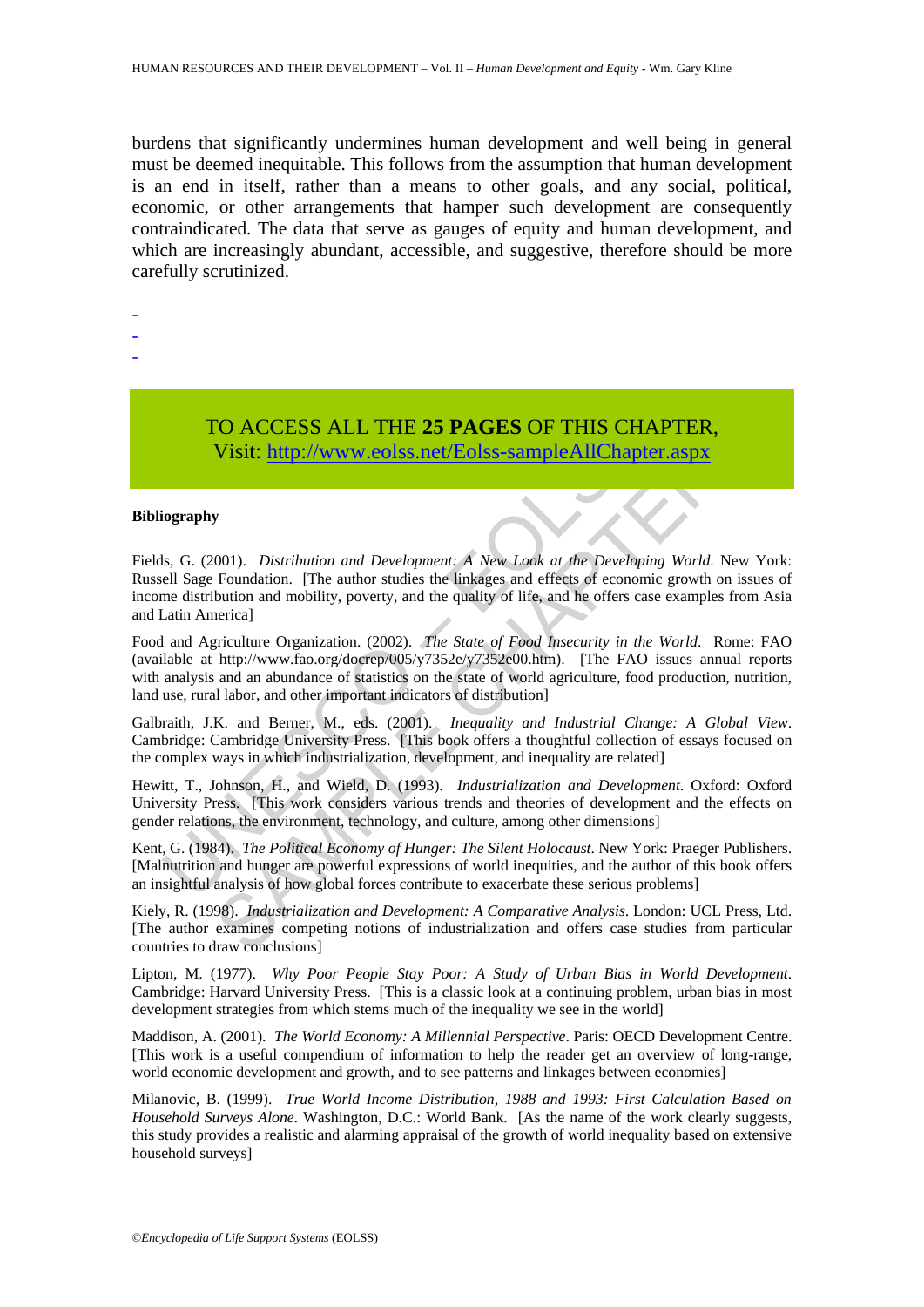burdens that significantly undermines human development and well being in general must be deemed inequitable. This follows from the assumption that human development is an end in itself, rather than a means to other goals, and any social, political, economic, or other arrangements that hamper such development are consequently contraindicated. The data that serve as gauges of equity and human development, and which are increasingly abundant, accessible, and suggestive, therefore should be more carefully scrutinized.

- -
- -
- -

TO ACCESS ALL THE **25 PAGES** OF THIS CHAPTER, Visit: http://www.eolss.net/Eolss-sampleAllChapter.aspx

#### **Bibliography**

**TO ACCESS ALL THE 25 PAGES OF THIS CHANGES**<br>Visit: http://www.eolss.net/Eolss-sampleAllChapte<br>iography<br>sist.: http://www.eolss.net/Eolss-sampleAllChapte<br>iography<br>sist. G. (2001). *Distribution and Development:* A *New Loo* CO ACCESS ALL THE 25 PAGES OF THIS CHAPTER,<br>Visit:  $\frac{http://www.eolss.net/Eolss-sampleAllChapter aspx}{http://www.eolss.net/Eolss-sampleAllChapter aspx}$ <br>To<br>O(1). Distribution and Development: A New Look at the Developing World. New Youndation. [The author studies the linkages and ef Fields, G. (2001). *Distribution and Development: A New Look at the Developing World*. New York: Russell Sage Foundation. [The author studies the linkages and effects of economic growth on issues of income distribution and mobility, poverty, and the quality of life, and he offers case examples from Asia and Latin America]

Food and Agriculture Organization. (2002). *The State of Food Insecurity in the World*. Rome: FAO (available at http://www.fao.org/docrep/005/y7352e/y7352e00.htm). [The FAO issues annual reports with analysis and an abundance of statistics on the state of world agriculture, food production, nutrition, land use, rural labor, and other important indicators of distribution]

Galbraith, J.K. and Berner, M., eds. (2001). *Inequality and Industrial Change: A Global View*. Cambridge: Cambridge University Press. [This book offers a thoughtful collection of essays focused on the complex ways in which industrialization, development, and inequality are related]

Hewitt, T., Johnson, H., and Wield, D. (1993). *Industrialization and Development*. Oxford: Oxford University Press. [This work considers various trends and theories of development and the effects on gender relations, the environment, technology, and culture, among other dimensions]

Kent, G. (1984). *The Political Economy of Hunger: The Silent Holocaust*. New York: Praeger Publishers. [Malnutrition and hunger are powerful expressions of world inequities, and the author of this book offers an insightful analysis of how global forces contribute to exacerbate these serious problems]

Kiely, R. (1998). *Industrialization and Development: A Comparative Analysis*. London: UCL Press, Ltd. [The author examines competing notions of industrialization and offers case studies from particular countries to draw conclusions]

Lipton, M. (1977). *Why Poor People Stay Poor: A Study of Urban Bias in World Development*. Cambridge: Harvard University Press. [This is a classic look at a continuing problem, urban bias in most development strategies from which stems much of the inequality we see in the world]

Maddison, A. (2001). *The World Economy: A Millennial Perspective*. Paris: OECD Development Centre. [This work is a useful compendium of information to help the reader get an overview of long-range, world economic development and growth, and to see patterns and linkages between economies]

Milanovic, B. (1999). *True World Income Distribution, 1988 and 1993: First Calculation Based on Household Surveys Alone*. Washington, D.C.: World Bank. [As the name of the work clearly suggests, this study provides a realistic and alarming appraisal of the growth of world inequality based on extensive household surveys]